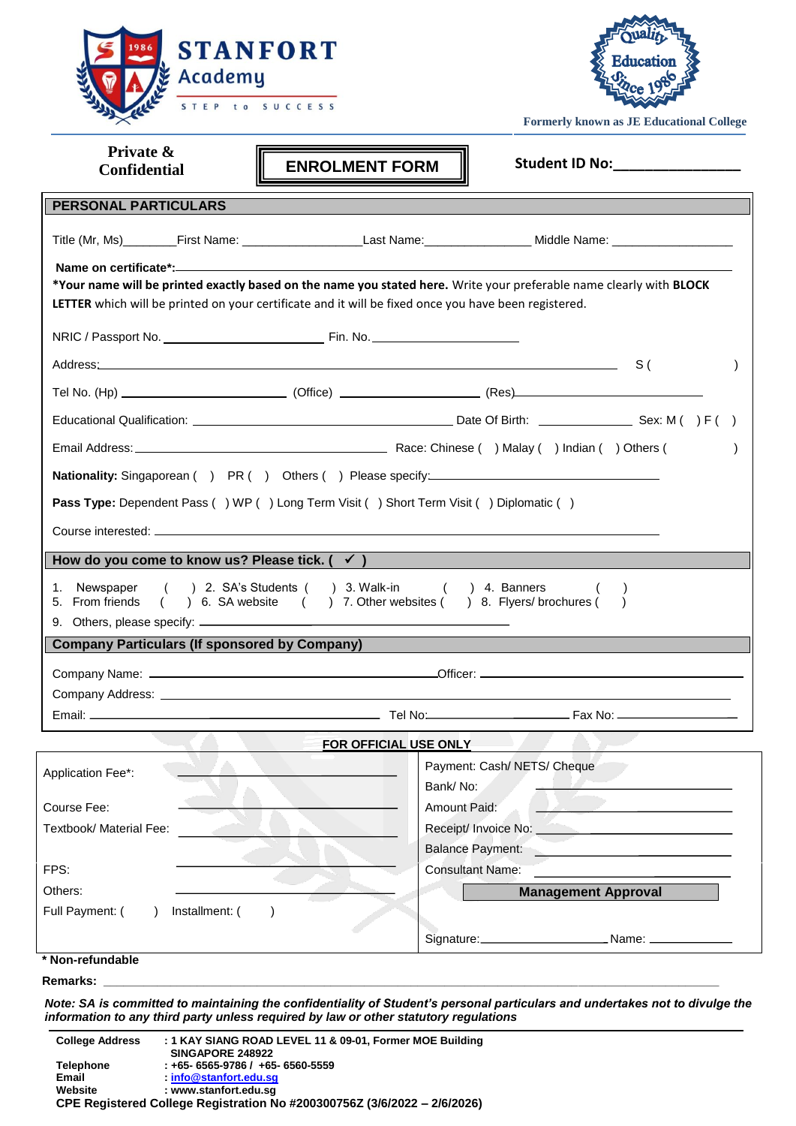



**Formerly known as JE Educational College**

| Private &<br><b>Confidential</b>                            | <b>ENROLMENT FORM</b>                                                                                              | Student ID No: ________________                                                                                     |  |  |
|-------------------------------------------------------------|--------------------------------------------------------------------------------------------------------------------|---------------------------------------------------------------------------------------------------------------------|--|--|
| <b>PERSONAL PARTICULARS</b>                                 |                                                                                                                    |                                                                                                                     |  |  |
|                                                             |                                                                                                                    |                                                                                                                     |  |  |
|                                                             |                                                                                                                    |                                                                                                                     |  |  |
|                                                             |                                                                                                                    | *Your name will be printed exactly based on the name you stated here. Write your preferable name clearly with BLOCK |  |  |
|                                                             | LETTER which will be printed on your certificate and it will be fixed once you have been registered.               |                                                                                                                     |  |  |
|                                                             |                                                                                                                    |                                                                                                                     |  |  |
|                                                             |                                                                                                                    | $\lambda$                                                                                                           |  |  |
|                                                             |                                                                                                                    |                                                                                                                     |  |  |
|                                                             |                                                                                                                    |                                                                                                                     |  |  |
|                                                             |                                                                                                                    |                                                                                                                     |  |  |
|                                                             |                                                                                                                    |                                                                                                                     |  |  |
|                                                             | Pass Type: Dependent Pass () WP () Long Term Visit () Short Term Visit () Diplomatic ()                            |                                                                                                                     |  |  |
|                                                             |                                                                                                                    |                                                                                                                     |  |  |
|                                                             |                                                                                                                    |                                                                                                                     |  |  |
| How do you come to know us? Please tick. $($ $\checkmark$ ) |                                                                                                                    |                                                                                                                     |  |  |
| 1. Newspaper<br>5. From friends                             | () 2. SA's Students () 3. Walk-in () 4. Banners<br>() 6. SA website () 7. Other websites () 8. Flyers/brochures () |                                                                                                                     |  |  |
|                                                             |                                                                                                                    |                                                                                                                     |  |  |
| <b>Company Particulars (If sponsored by Company)</b>        |                                                                                                                    |                                                                                                                     |  |  |
|                                                             |                                                                                                                    |                                                                                                                     |  |  |
|                                                             |                                                                                                                    |                                                                                                                     |  |  |
|                                                             |                                                                                                                    |                                                                                                                     |  |  |
|                                                             | FOR OFFICIAL USE ONLY                                                                                              |                                                                                                                     |  |  |
| Application Fee*:                                           |                                                                                                                    | Payment: Cash/ NETS/ Cheque                                                                                         |  |  |
| Course Fee:                                                 | Bank/No:<br><b>Amount Paid:</b>                                                                                    |                                                                                                                     |  |  |
| Textbook/ Material Fee:                                     |                                                                                                                    | Receipt/ Invoice No: _<br>the contract of the contract of the contract of the contract of                           |  |  |
|                                                             |                                                                                                                    | <b>Balance Payment:</b>                                                                                             |  |  |
| FPS:                                                        |                                                                                                                    | <b>Consultant Name:</b>                                                                                             |  |  |
| Others:                                                     |                                                                                                                    | <b>Management Approval</b>                                                                                          |  |  |
| Full Payment: (<br>Installment: (                           |                                                                                                                    |                                                                                                                     |  |  |
|                                                             |                                                                                                                    |                                                                                                                     |  |  |
| * Non-refundable                                            |                                                                                                                    |                                                                                                                     |  |  |
|                                                             |                                                                                                                    |                                                                                                                     |  |  |

*Note: SA is committed to maintaining the confidentiality of Student's personal particulars and undertakes not to divulge the information to any third party unless required by law or other statutory regulations*

**College Address : 1 KAY SIANG ROAD LEVEL 11 & 09-01, Former MOE Building SINGAPORE 248922 Telephone : +65- 6565-9786 / +65- 6560-5559** Email : [info@stanfort.edu.sg](mailto:info@stanfort.edu.sg)<br>Website : www.stanfort.edu.sg **Website : www.stanfort.edu.sg CPE Registered College Registration No #200300756Z (3/6/2022 – 2/6/2026)**